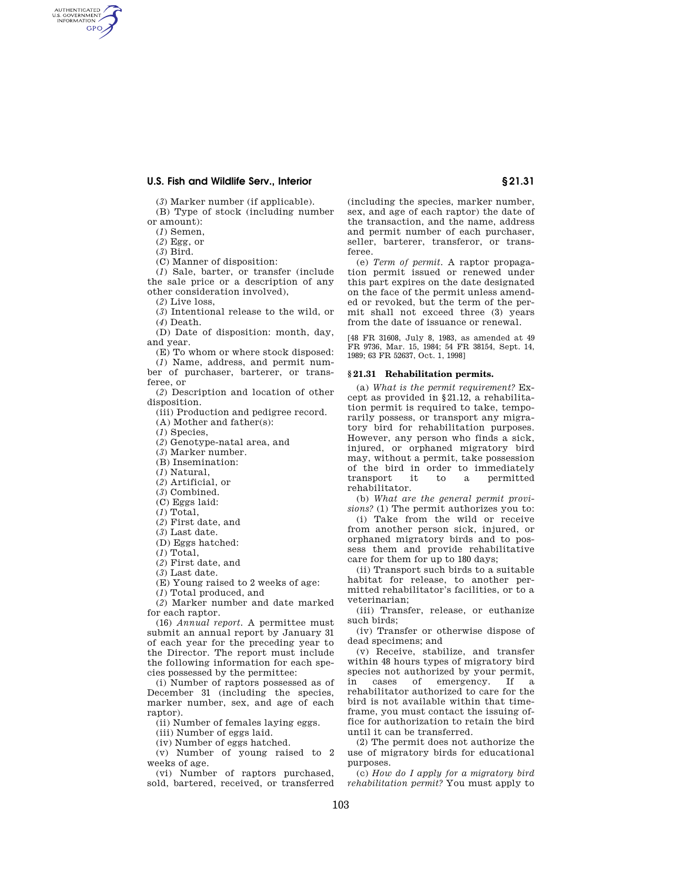# **U.S. Fish and Wildlife Serv., Interior § 21.31**

(*3*) Marker number (if applicable).

(B) Type of stock (including number

or amount):

AUTHENTICATED<br>U.S. GOVERNMENT<br>INFORMATION **GPO** 

> (*1*) Semen, (*2*) Egg, or

(*3*) Bird.

(C) Manner of disposition:

(*1*) Sale, barter, or transfer (include the sale price or a description of any other consideration involved),

(*2*) Live loss,

(*3*) Intentional release to the wild, or (*4*) Death.

(D) Date of disposition: month, day, and year.

(E) To whom or where stock disposed:

(*1*) Name, address, and permit number of purchaser, barterer, or transferee, or

(*2*) Description and location of other disposition.

(iii) Production and pedigree record.

(A) Mother and father(s):

(*1*) Species,

(*2*) Genotype-natal area, and

(*3*) Marker number.

(B) Insemination:

(*1*) Natural,

(*2*) Artificial, or

(*3*) Combined.

(C) Eggs laid:

(*1*) Total,

(*2*) First date, and

(*3*) Last date.

(D) Eggs hatched:

(*1*) Total,

(*2*) First date, and

(*3*) Last date.

(E) Young raised to 2 weeks of age:

(*1*) Total produced, and

(*2*) Marker number and date marked for each raptor.

(16) *Annual report.* A permittee must submit an annual report by January 31 of each year for the preceding year to the Director. The report must include the following information for each species possessed by the permittee:

(i) Number of raptors possessed as of December 31 (including the species, marker number, sex, and age of each raptor).

(ii) Number of females laying eggs.

(iii) Number of eggs laid.

(iv) Number of eggs hatched.

(v) Number of young raised to 2 weeks of age.

(vi) Number of raptors purchased, sold, bartered, received, or transferred

(including the species, marker number, sex, and age of each raptor) the date of the transaction, and the name, address and permit number of each purchaser, seller, barterer, transferor, or transferee.

(e) *Term of permit.* A raptor propagation permit issued or renewed under this part expires on the date designated on the face of the permit unless amended or revoked, but the term of the permit shall not exceed three (3) years from the date of issuance or renewal.

[48 FR 31608, July 8, 1983, as amended at 49 FR 9736, Mar. 15, 1984; 54 FR 38154, Sept. 14, 1989; 63 FR 52637, Oct. 1, 1998]

#### **§ 21.31 Rehabilitation permits.**

(a) *What is the permit requirement?* Except as provided in §21.12, a rehabilitation permit is required to take, temporarily possess, or transport any migratory bird for rehabilitation purposes. However, any person who finds a sick, injured, or orphaned migratory bird may, without a permit, take possession of the bird in order to immediately transport it to a permitted rehabilitator.

(b) *What are the general permit provisions?* (1) The permit authorizes you to:

(i) Take from the wild or receive from another person sick, injured, or orphaned migratory birds and to possess them and provide rehabilitative care for them for up to 180 days;

(ii) Transport such birds to a suitable habitat for release, to another permitted rehabilitator's facilities, or to a veterinarian;

(iii) Transfer, release, or euthanize such birds;

(iv) Transfer or otherwise dispose of dead specimens; and

(v) Receive, stabilize, and transfer within 48 hours types of migratory bird species not authorized by your permit, in cases of emergency. If a rehabilitator authorized to care for the bird is not available within that timeframe, you must contact the issuing office for authorization to retain the bird until it can be transferred.

(2) The permit does not authorize the use of migratory birds for educational purposes.

(c) *How do I apply for a migratory bird rehabilitation permit?* You must apply to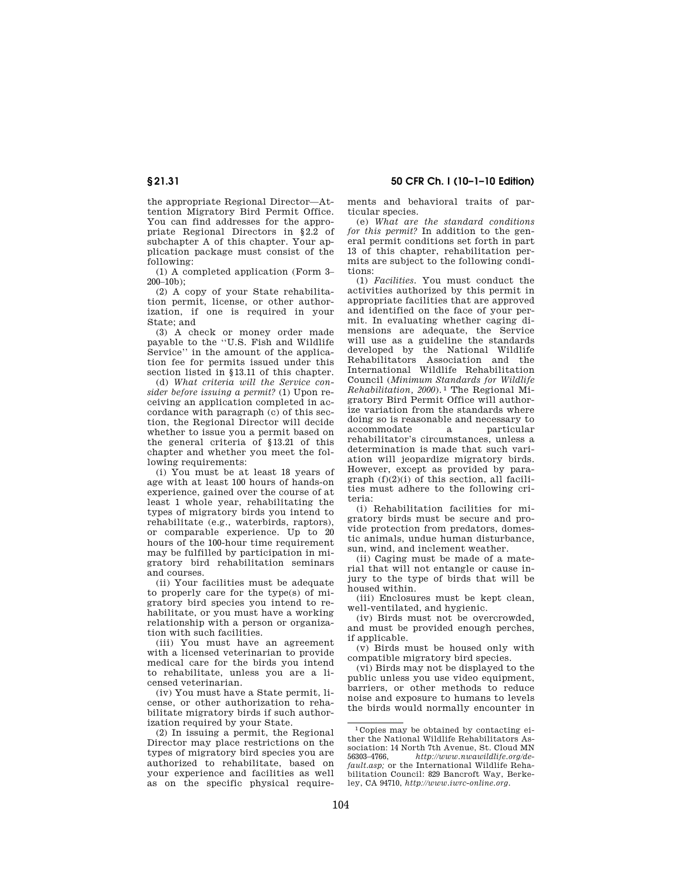the appropriate Regional Director—Attention Migratory Bird Permit Office. You can find addresses for the appropriate Regional Directors in §2.2 of subchapter A of this chapter. Your application package must consist of the following:

(1) A completed application (Form 3– 200–10b);

(2) A copy of your State rehabilitation permit, license, or other authorization, if one is required in your State; and

(3) A check or money order made payable to the ''U.S. Fish and Wildlife Service'' in the amount of the application fee for permits issued under this section listed in §13.11 of this chapter.

(d) *What criteria will the Service consider before issuing a permit?* (1) Upon receiving an application completed in accordance with paragraph (c) of this section, the Regional Director will decide whether to issue you a permit based on the general criteria of §13.21 of this chapter and whether you meet the following requirements:

(i) You must be at least 18 years of age with at least 100 hours of hands-on experience, gained over the course of at least 1 whole year, rehabilitating the types of migratory birds you intend to rehabilitate (e.g., waterbirds, raptors), or comparable experience. Up to 20 hours of the 100-hour time requirement may be fulfilled by participation in migratory bird rehabilitation seminars and courses.

(ii) Your facilities must be adequate to properly care for the type(s) of migratory bird species you intend to rehabilitate, or you must have a working relationship with a person or organization with such facilities.

(iii) You must have an agreement with a licensed veterinarian to provide medical care for the birds you intend to rehabilitate, unless you are a licensed veterinarian.

(iv) You must have a State permit, license, or other authorization to rehabilitate migratory birds if such authorization required by your State.

(2) In issuing a permit, the Regional Director may place restrictions on the types of migratory bird species you are authorized to rehabilitate, based on your experience and facilities as well as on the specific physical requirements and behavioral traits of particular species.

(e) *What are the standard conditions for this permit?* In addition to the general permit conditions set forth in part 13 of this chapter, rehabilitation permits are subject to the following conditions:

(1) *Facilities.* You must conduct the activities authorized by this permit in appropriate facilities that are approved and identified on the face of your permit. In evaluating whether caging dimensions are adequate, the Service will use as a guideline the standards developed by the National Wildlife Rehabilitators Association and the International Wildlife Rehabilitation Council (*Minimum Standards for Wildlife Rehabilitation, 2000*). 1 The Regional Migratory Bird Permit Office will authorize variation from the standards where doing so is reasonable and necessary to<br>accommodate a particular accommodate a rehabilitator's circumstances, unless a determination is made that such variation will jeopardize migratory birds. However, except as provided by paragraph (f)(2)(i) of this section, all facilities must adhere to the following criteria:

(i) Rehabilitation facilities for migratory birds must be secure and provide protection from predators, domestic animals, undue human disturbance, sun, wind, and inclement weather.

(ii) Caging must be made of a material that will not entangle or cause injury to the type of birds that will be housed within.

(iii) Enclosures must be kept clean, well-ventilated, and hygienic.

(iv) Birds must not be overcrowded, and must be provided enough perches, if applicable.

(v) Birds must be housed only with compatible migratory bird species.

(vi) Birds may not be displayed to the public unless you use video equipment, barriers, or other methods to reduce noise and exposure to humans to levels the birds would normally encounter in

<sup>1</sup> Copies may be obtained by contacting either the National Wildlife Rehabilitators Association: 14 North 7th Avenue, St. Cloud MN<br>56303–4766. http://www.nwawildlife.org/de-56303–4766, *http://www.nwawildlife.org/default.asp;* or the International Wildlife Rehabilitation Council: 829 Bancroft Way, Berkeley, CA 94710, *http://www.iwrc-online.org.*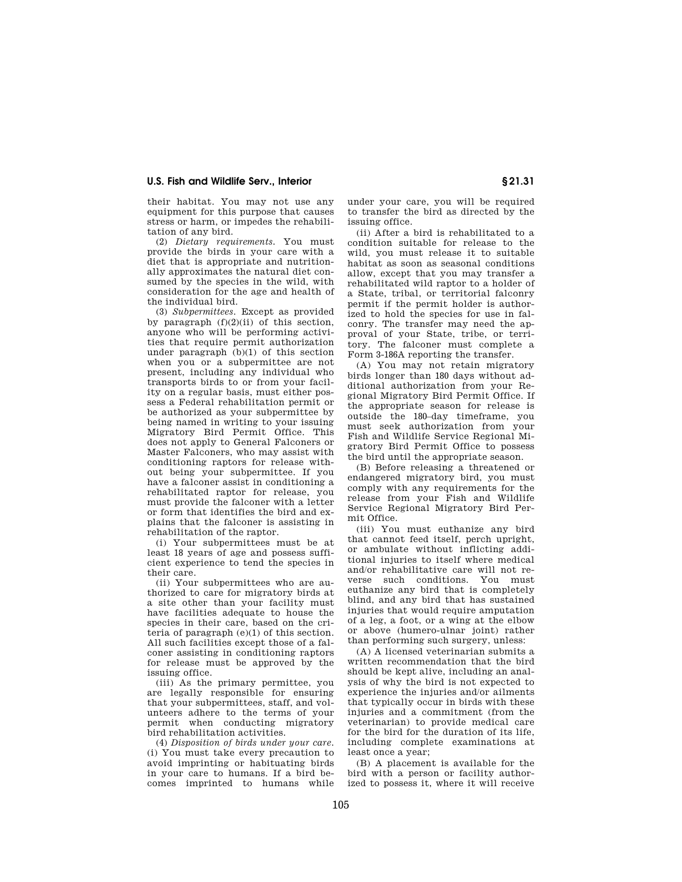## **U.S. Fish and Wildlife Serv., Interior § 21.31**

their habitat. You may not use any equipment for this purpose that causes stress or harm, or impedes the rehabilitation of any bird.

(2) *Dietary requirements.* You must provide the birds in your care with a diet that is appropriate and nutritionally approximates the natural diet consumed by the species in the wild, with consideration for the age and health of the individual bird.

(3) *Subpermittees*. Except as provided by paragraph  $(f)(2)(ii)$  of this section anyone who will be performing activities that require permit authorization under paragraph (b)(1) of this section when you or a subpermittee are not present, including any individual who transports birds to or from your facility on a regular basis, must either possess a Federal rehabilitation permit or be authorized as your subpermittee by being named in writing to your issuing Migratory Bird Permit Office. This does not apply to General Falconers or Master Falconers, who may assist with conditioning raptors for release without being your subpermittee. If you have a falconer assist in conditioning a rehabilitated raptor for release, you must provide the falconer with a letter or form that identifies the bird and explains that the falconer is assisting in rehabilitation of the raptor.

(i) Your subpermittees must be at least 18 years of age and possess sufficient experience to tend the species in their care.

(ii) Your subpermittees who are authorized to care for migratory birds at a site other than your facility must have facilities adequate to house the species in their care, based on the criteria of paragraph (e)(1) of this section. All such facilities except those of a falconer assisting in conditioning raptors for release must be approved by the issuing office.

(iii) As the primary permittee, you are legally responsible for ensuring that your subpermittees, staff, and volunteers adhere to the terms of your permit when conducting migratory bird rehabilitation activities.

(4) *Disposition of birds under your care.*  (i) You must take every precaution to avoid imprinting or habituating birds in your care to humans. If a bird becomes imprinted to humans while

under your care, you will be required to transfer the bird as directed by the issuing office.

(ii) After a bird is rehabilitated to a condition suitable for release to the wild, you must release it to suitable habitat as soon as seasonal conditions allow, except that you may transfer a rehabilitated wild raptor to a holder of a State, tribal, or territorial falconry permit if the permit holder is authorized to hold the species for use in falconry. The transfer may need the approval of your State, tribe, or territory. The falconer must complete a Form 3-186A reporting the transfer.

(A) You may not retain migratory birds longer than 180 days without additional authorization from your Regional Migratory Bird Permit Office. If the appropriate season for release is outside the 180–day timeframe, you must seek authorization from your Fish and Wildlife Service Regional Migratory Bird Permit Office to possess the bird until the appropriate season.

(B) Before releasing a threatened or endangered migratory bird, you must comply with any requirements for the release from your Fish and Wildlife Service Regional Migratory Bird Permit Office.

(iii) You must euthanize any bird that cannot feed itself, perch upright, or ambulate without inflicting additional injuries to itself where medical and/or rehabilitative care will not reverse such conditions. You must euthanize any bird that is completely blind, and any bird that has sustained injuries that would require amputation of a leg, a foot, or a wing at the elbow or above (humero-ulnar joint) rather than performing such surgery, unless:

(A) A licensed veterinarian submits a written recommendation that the bird should be kept alive, including an analysis of why the bird is not expected to experience the injuries and/or ailments that typically occur in birds with these injuries and a commitment (from the veterinarian) to provide medical care for the bird for the duration of its life, including complete examinations at least once a year;

(B) A placement is available for the bird with a person or facility authorized to possess it, where it will receive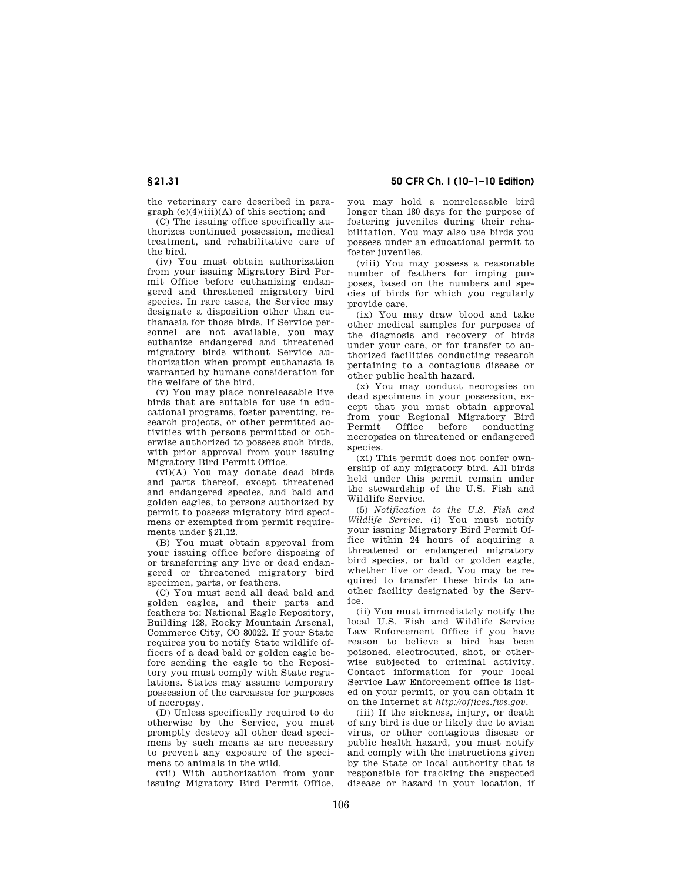**§ 21.31 50 CFR Ch. I (10–1–10 Edition)** 

the veterinary care described in paragraph  $(e)(4)(iii)(A)$  of this section; and

(C) The issuing office specifically authorizes continued possession, medical treatment, and rehabilitative care of the bird.

(iv) You must obtain authorization from your issuing Migratory Bird Permit Office before euthanizing endangered and threatened migratory bird species. In rare cases, the Service may designate a disposition other than euthanasia for those birds. If Service personnel are not available, you may euthanize endangered and threatened migratory birds without Service authorization when prompt euthanasia is warranted by humane consideration for the welfare of the bird.

(v) You may place nonreleasable live birds that are suitable for use in educational programs, foster parenting, research projects, or other permitted activities with persons permitted or otherwise authorized to possess such birds, with prior approval from your issuing Migratory Bird Permit Office.

(vi)(A) You may donate dead birds and parts thereof, except threatened and endangered species, and bald and golden eagles, to persons authorized by permit to possess migratory bird specimens or exempted from permit requirements under §21.12.

(B) You must obtain approval from your issuing office before disposing of or transferring any live or dead endangered or threatened migratory bird specimen, parts, or feathers.

(C) You must send all dead bald and golden eagles, and their parts and feathers to: National Eagle Repository, Building 128, Rocky Mountain Arsenal, Commerce City, CO 80022. If your State requires you to notify State wildlife officers of a dead bald or golden eagle before sending the eagle to the Repository you must comply with State regulations. States may assume temporary possession of the carcasses for purposes of necropsy.

(D) Unless specifically required to do otherwise by the Service, you must promptly destroy all other dead specimens by such means as are necessary to prevent any exposure of the specimens to animals in the wild.

(vii) With authorization from your issuing Migratory Bird Permit Office, you may hold a nonreleasable bird longer than 180 days for the purpose of fostering juveniles during their rehabilitation. You may also use birds you possess under an educational permit to foster juveniles.

(viii) You may possess a reasonable number of feathers for imping purposes, based on the numbers and species of birds for which you regularly provide care.

(ix) You may draw blood and take other medical samples for purposes of the diagnosis and recovery of birds under your care, or for transfer to authorized facilities conducting research pertaining to a contagious disease or other public health hazard.

(x) You may conduct necropsies on dead specimens in your possession, except that you must obtain approval from your Regional Migratory Bird Permit Office before conducting necropsies on threatened or endangered species.

(xi) This permit does not confer ownership of any migratory bird. All birds held under this permit remain under the stewardship of the U.S. Fish and Wildlife Service.

(5) *Notification to the U.S. Fish and Wildlife Service.* (i) You must notify your issuing Migratory Bird Permit Office within 24 hours of acquiring a threatened or endangered migratory bird species, or bald or golden eagle, whether live or dead. You may be required to transfer these birds to another facility designated by the Service.

(ii) You must immediately notify the local U.S. Fish and Wildlife Service Law Enforcement Office if you have reason to believe a bird has been poisoned, electrocuted, shot, or otherwise subjected to criminal activity. Contact information for your local Service Law Enforcement office is listed on your permit, or you can obtain it on the Internet at *http://offices.fws.gov.* 

(iii) If the sickness, injury, or death of any bird is due or likely due to avian virus, or other contagious disease or public health hazard, you must notify and comply with the instructions given by the State or local authority that is responsible for tracking the suspected disease or hazard in your location, if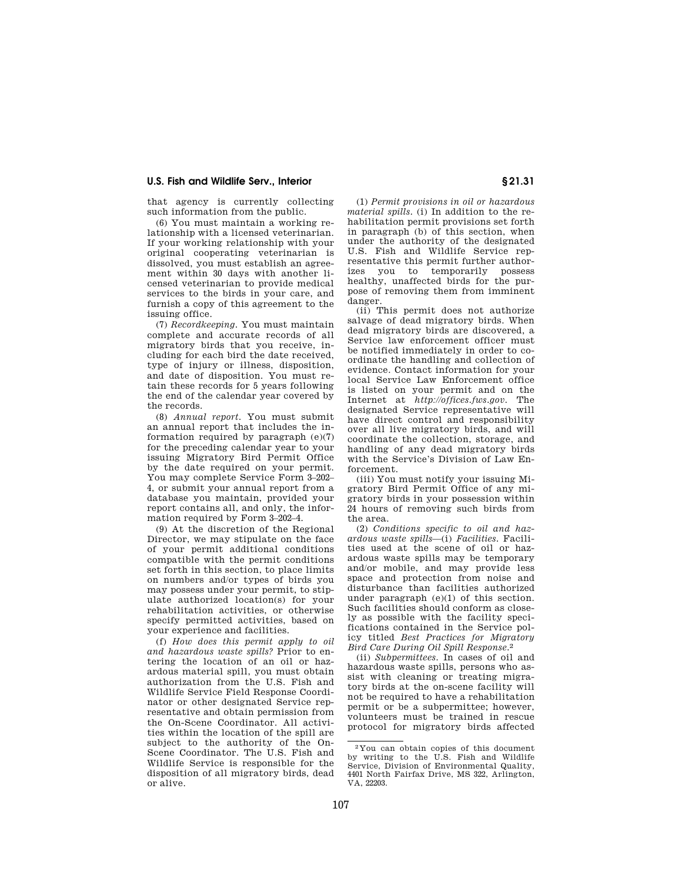## **U.S. Fish and Wildlife Serv., Interior § 21.31**

that agency is currently collecting such information from the public.

(6) You must maintain a working relationship with a licensed veterinarian. If your working relationship with your original cooperating veterinarian is dissolved, you must establish an agreement within 30 days with another licensed veterinarian to provide medical services to the birds in your care, and furnish a copy of this agreement to the issuing office.

(7) *Recordkeeping.* You must maintain complete and accurate records of all migratory birds that you receive, including for each bird the date received, type of injury or illness, disposition, and date of disposition. You must retain these records for 5 years following the end of the calendar year covered by the records.

(8) *Annual report.* You must submit an annual report that includes the information required by paragraph  $(e)(7)$ for the preceding calendar year to your issuing Migratory Bird Permit Office by the date required on your permit. You may complete Service Form 3–202– 4, or submit your annual report from a database you maintain, provided your report contains all, and only, the information required by Form 3–202–4.

(9) At the discretion of the Regional Director, we may stipulate on the face of your permit additional conditions compatible with the permit conditions set forth in this section, to place limits on numbers and/or types of birds you may possess under your permit, to stipulate authorized location(s) for your rehabilitation activities, or otherwise specify permitted activities, based on your experience and facilities.

(f) *How does this permit apply to oil and hazardous waste spills?* Prior to entering the location of an oil or hazardous material spill, you must obtain authorization from the U.S. Fish and Wildlife Service Field Response Coordinator or other designated Service representative and obtain permission from the On-Scene Coordinator. All activities within the location of the spill are subject to the authority of the On-Scene Coordinator. The U.S. Fish and Wildlife Service is responsible for the disposition of all migratory birds, dead or alive.

(1) *Permit provisions in oil or hazardous material spills.* (i) In addition to the rehabilitation permit provisions set forth in paragraph (b) of this section, when under the authority of the designated U.S. Fish and Wildlife Service representative this permit further authorizes you to temporarily possess healthy, unaffected birds for the purpose of removing them from imminent danger.

(ii) This permit does not authorize salvage of dead migratory birds. When dead migratory birds are discovered, a Service law enforcement officer must be notified immediately in order to coordinate the handling and collection of evidence. Contact information for your local Service Law Enforcement office is listed on your permit and on the Internet at *http://offices.fws.gov.* The designated Service representative will have direct control and responsibility over all live migratory birds, and will coordinate the collection, storage, and handling of any dead migratory birds with the Service's Division of Law Enforcement.

(iii) You must notify your issuing Migratory Bird Permit Office of any migratory birds in your possession within 24 hours of removing such birds from the area.

(2) *Conditions specific to oil and hazardous waste spills*—(i) *Facilities.* Facilities used at the scene of oil or hazardous waste spills may be temporary and/or mobile, and may provide less space and protection from noise and disturbance than facilities authorized under paragraph (e)(1) of this section. Such facilities should conform as closely as possible with the facility specifications contained in the Service policy titled *Best Practices for Migratory Bird Care During Oil Spill Response.*2

(ii) *Subpermittees.* In cases of oil and hazardous waste spills, persons who assist with cleaning or treating migratory birds at the on-scene facility will not be required to have a rehabilitation permit or be a subpermittee; however, volunteers must be trained in rescue protocol for migratory birds affected

<sup>2</sup> You can obtain copies of this document by writing to the U.S. Fish and Wildlife Service, Division of Environmental Quality, 4401 North Fairfax Drive, MS 322, Arlington, VA, 22203.